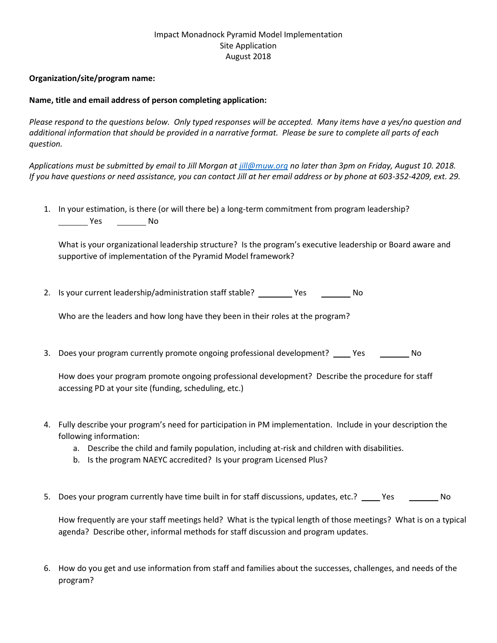## Impact Monadnock Pyramid Model Implementation Site Application August 2018

## **Organization/site/program name:**

## **Name, title and email address of person completing application:**

*Please respond to the questions below. Only typed responses will be accepted. Many items have a yes/no question and additional information that should be provided in a narrative format. Please be sure to complete all parts of each question.*

*Applications must be submitted by email to Jill Morgan a[t jill@muw.org](mailto:jill@muw.org) no later than 3pm on Friday, August 10. 2018. If you have questions or need assistance, you can contact Jill at her email address or by phone at 603-352-4209, ext. 29.*

1. In your estimation, is there (or will there be) a long-term commitment from program leadership? No Nestern Cherche No

What is your organizational leadership structure? Is the program's executive leadership or Board aware and supportive of implementation of the Pyramid Model framework?

2. Is your current leadership/administration staff stable? \_\_\_\_\_\_\_\_ Yes \_\_\_\_\_\_\_\_ No

Who are the leaders and how long have they been in their roles at the program?

3. Does your program currently promote ongoing professional development? Yes No

How does your program promote ongoing professional development? Describe the procedure for staff accessing PD at your site (funding, scheduling, etc.)

- 4. Fully describe your program's need for participation in PM implementation. Include in your description the following information:
	- a. Describe the child and family population, including at-risk and children with disabilities.
	- b. Is the program NAEYC accredited? Is your program Licensed Plus?
- 5. Does your program currently have time built in for staff discussions, updates, etc.? Yes No

How frequently are your staff meetings held? What is the typical length of those meetings? What is on a typical agenda? Describe other, informal methods for staff discussion and program updates.

6. How do you get and use information from staff and families about the successes, challenges, and needs of the program?